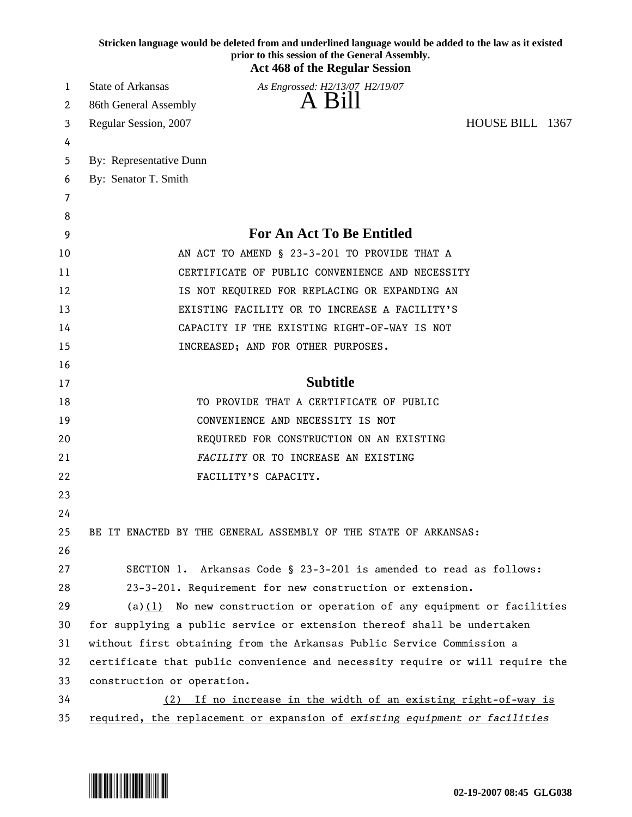|    | Stricken language would be deleted from and underlined language would be added to the law as it existed<br>prior to this session of the General Assembly.<br><b>Act 468 of the Regular Session</b> |
|----|----------------------------------------------------------------------------------------------------------------------------------------------------------------------------------------------------|
| 1  | <b>State of Arkansas</b><br>As Engrossed: H2/13/07 H2/19/07                                                                                                                                        |
| 2  | A Bill<br>86th General Assembly                                                                                                                                                                    |
| 3  | HOUSE BILL 1367<br>Regular Session, 2007                                                                                                                                                           |
| 4  |                                                                                                                                                                                                    |
| 5  | By: Representative Dunn                                                                                                                                                                            |
| 6  | By: Senator T. Smith                                                                                                                                                                               |
| 7  |                                                                                                                                                                                                    |
| 8  |                                                                                                                                                                                                    |
| 9  | <b>For An Act To Be Entitled</b>                                                                                                                                                                   |
| 10 | AN ACT TO AMEND § 23-3-201 TO PROVIDE THAT A                                                                                                                                                       |
| 11 | CERTIFICATE OF PUBLIC CONVENIENCE AND NECESSITY                                                                                                                                                    |
| 12 | IS NOT REQUIRED FOR REPLACING OR EXPANDING AN                                                                                                                                                      |
| 13 | EXISTING FACILITY OR TO INCREASE A FACILITY'S                                                                                                                                                      |
| 14 | CAPACITY IF THE EXISTING RIGHT-OF-WAY IS NOT                                                                                                                                                       |
| 15 | INCREASED; AND FOR OTHER PURPOSES.                                                                                                                                                                 |
| 16 |                                                                                                                                                                                                    |
| 17 | <b>Subtitle</b>                                                                                                                                                                                    |
| 18 | TO PROVIDE THAT A CERTIFICATE OF PUBLIC                                                                                                                                                            |
| 19 | CONVENIENCE AND NECESSITY IS NOT                                                                                                                                                                   |
| 20 | REQUIRED FOR CONSTRUCTION ON AN EXISTING                                                                                                                                                           |
| 21 | FACILITY OR TO INCREASE AN EXISTING                                                                                                                                                                |
| 22 | FACILITY'S CAPACITY.                                                                                                                                                                               |
| 23 |                                                                                                                                                                                                    |
| 24 |                                                                                                                                                                                                    |
| 25 | BE IT ENACTED BY THE GENERAL ASSEMBLY OF THE STATE OF ARKANSAS:                                                                                                                                    |
| 26 |                                                                                                                                                                                                    |
| 27 | SECTION 1. Arkansas Code § 23-3-201 is amended to read as follows:                                                                                                                                 |
| 28 | 23-3-201. Requirement for new construction or extension.                                                                                                                                           |
| 29 | $(a)(1)$ No new construction or operation of any equipment or facilities                                                                                                                           |
| 30 | for supplying a public service or extension thereof shall be undertaken                                                                                                                            |
| 31 | without first obtaining from the Arkansas Public Service Commission a                                                                                                                              |
| 32 | certificate that public convenience and necessity require or will require the                                                                                                                      |
| 33 | construction or operation.                                                                                                                                                                         |
| 34 | (2) If no increase in the width of an existing right-of-way is                                                                                                                                     |
| 35 | required, the replacement or expansion of existing equipment or facilities                                                                                                                         |